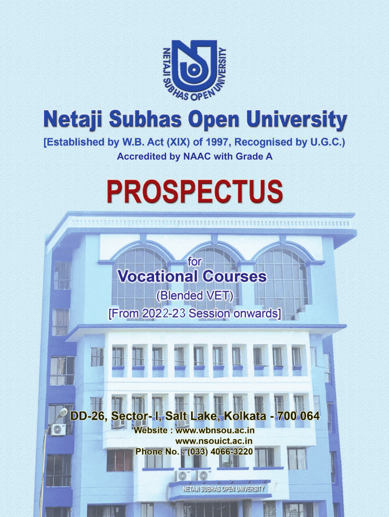

# **Netaji Subhas Open University**

[Established by W.B. Act (XIX) of 1997, Recognised by U.G.C.) **Accredited by NAAC with Grade A**

# **PROSPECTUS**

# **Vocational Courses**

for

(Blended VET) **[From 2022-23 Session onwards]** 



**NETAJI SUBHAS OPEN UNIVERSITY**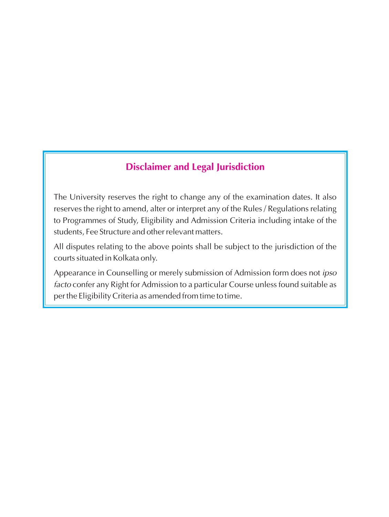# **Disclaimer and Legal Jurisdiction**

The University reserves the right to change any of the examination dates. It also reserves the right to amend, alter or interpret any of the Rules / Regulations relating to Programmes of Study, Eligibility and Admission Criteria including intake of the students, Fee Structure and other relevant matters.

All disputes relating to the above points shall be subject to the jurisdiction of the courts situated in Kolkata only.

Appearance in Counselling or merely submission of Admission form does not *ipso facto* confer any Right for Admission to a particular Course unless found suitable as per the Eligibility Criteria as amended from time to time.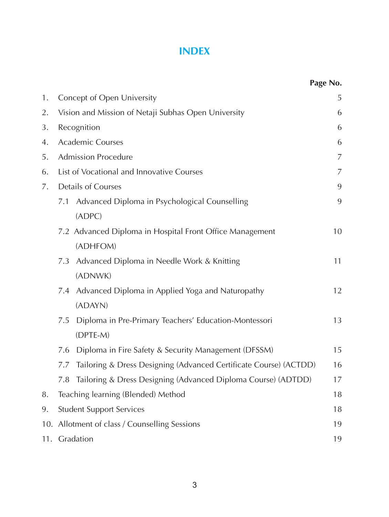# **INDEX**

|    |                                                                          | Page No.       |
|----|--------------------------------------------------------------------------|----------------|
| 1. | Concept of Open University                                               | 5              |
| 2. | Vision and Mission of Netaji Subhas Open University                      | 6              |
| 3. | Recognition                                                              | 6              |
| 4. | <b>Academic Courses</b>                                                  | 6              |
| 5. | <b>Admission Procedure</b>                                               | $\overline{7}$ |
| 6. | List of Vocational and Innovative Courses                                | $\overline{7}$ |
| 7. | <b>Details of Courses</b>                                                | 9              |
|    | Advanced Diploma in Psychological Counselling<br>7.1                     | 9              |
|    | (ADPC)                                                                   |                |
|    | 7.2 Advanced Diploma in Hospital Front Office Management                 | 10             |
|    | (ADHFOM)                                                                 |                |
|    | Advanced Diploma in Needle Work & Knitting<br>7.3                        | 11             |
|    | (ADNWK)                                                                  |                |
|    | Advanced Diploma in Applied Yoga and Naturopathy<br>7.4                  | 12             |
|    | (ADAYN)                                                                  |                |
|    | Diploma in Pre-Primary Teachers' Education-Montessori<br>7.5             | 13             |
|    | (DPTE-M)                                                                 |                |
|    | Diploma in Fire Safety & Security Management (DFSSM)<br>7.6              | 15             |
|    | Tailoring & Dress Designing (Advanced Certificate Course) (ACTDD)<br>7.7 | 16             |
|    | Tailoring & Dress Designing (Advanced Diploma Course) (ADTDD)<br>7.8     | 17             |
| 8. | Teaching learning (Blended) Method                                       | 18             |
| 9. | <b>Student Support Services</b>                                          | 18             |
|    | 10. Allotment of class / Counselling Sessions                            | 19             |
|    | 11. Gradation                                                            | 19             |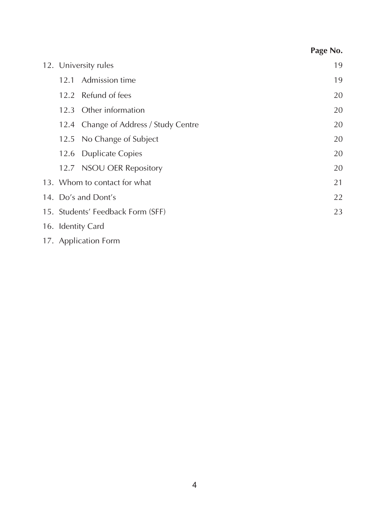| 12. University rules                                                                                                                                                                                                                                                                                                                                                                                                                                                                    | 19 |
|-----------------------------------------------------------------------------------------------------------------------------------------------------------------------------------------------------------------------------------------------------------------------------------------------------------------------------------------------------------------------------------------------------------------------------------------------------------------------------------------|----|
| 12.1 Admission time                                                                                                                                                                                                                                                                                                                                                                                                                                                                     | 19 |
| 12.2 Refund of fees                                                                                                                                                                                                                                                                                                                                                                                                                                                                     | 20 |
| 12.3 Other information                                                                                                                                                                                                                                                                                                                                                                                                                                                                  | 20 |
| 12.4 Change of Address / Study Centre                                                                                                                                                                                                                                                                                                                                                                                                                                                   | 20 |
| 12.5 No Change of Subject                                                                                                                                                                                                                                                                                                                                                                                                                                                               | 20 |
| 12.6 Duplicate Copies                                                                                                                                                                                                                                                                                                                                                                                                                                                                   | 20 |
| 12.7 NSOU OER Repository                                                                                                                                                                                                                                                                                                                                                                                                                                                                | 20 |
| 13. Whom to contact for what                                                                                                                                                                                                                                                                                                                                                                                                                                                            | 21 |
| 14. Do's and Dont's                                                                                                                                                                                                                                                                                                                                                                                                                                                                     | 22 |
| 15. Students' Feedback Form (SFF)                                                                                                                                                                                                                                                                                                                                                                                                                                                       | 23 |
| 16. Identity Card                                                                                                                                                                                                                                                                                                                                                                                                                                                                       |    |
| $\begin{array}{cccccccccccccc} \hline \multicolumn{3}{c}{} & \multicolumn{3}{c}{} & \multicolumn{3}{c}{} & \multicolumn{3}{c}{} & \multicolumn{3}{c}{} & \multicolumn{3}{c}{} & \multicolumn{3}{c}{} & \multicolumn{3}{c}{} & \multicolumn{3}{c}{} & \multicolumn{3}{c}{} & \multicolumn{3}{c}{} & \multicolumn{3}{c}{} & \multicolumn{3}{c}{} & \multicolumn{3}{c}{} & \multicolumn{3}{c}{} & \multicolumn{3}{c}{} & \multicolumn{3}{c}{} & \multicolumn{3}{c}{} & \multicolumn{3}{c}$ |    |

**Page No.**

#### 17. Application Form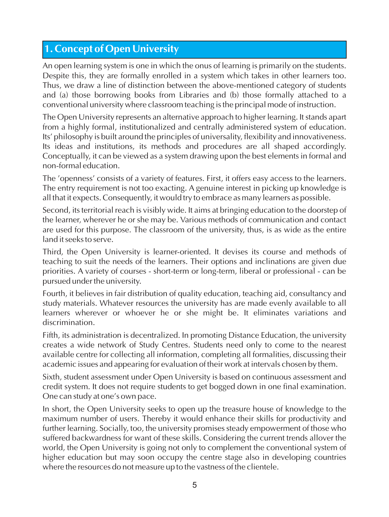# **1. Concept of Open University**

An open learning system is one in which the onus of learning is primarily on the students. Despite this, they are formally enrolled in a system which takes in other learners too. Thus, we draw a line of distinction between the above-mentioned category of students and (a) those borrowing books from Libraries and (b) those formally attached to a conventional university where classroom teaching is the principal mode of instruction.

The Open University represents an alternative approach to higher learning. It stands apart from a highly formal, institutionalized and centrally administered system of education. Its' philosophy is built around the principles of universality, flexibility and innovativeness. Its ideas and institutions, its methods and procedures are all shaped accordingly. Conceptually, it can be viewed as a system drawing upon the best elements in formal and non-formal education.

The 'openness' consists of a variety of features. First, it offers easy access to the learners. The entry requirement is not too exacting. A genuine interest in picking up knowledge is all that it expects. Consequently, it would try to embrace as many learners as possible.

Second, its territorial reach is visibly wide. It aims at bringing education to the doorstep of the learner, wherever he or she may be. Various methods of communication and contact are used for this purpose. The classroom of the university, thus, is as wide as the entire land it seeks to serve.

Third, the Open University is learner-oriented. It devises its course and methods of teaching to suit the needs of the learners. Their options and inclinations are given due priorities. A variety of courses - short-term or long-term, liberal or professional - can be pursued under the university.

Fourth, it believes in fair distribution of quality education, teaching aid, consultancy and study materials. Whatever resources the university has are made evenly available to all learners wherever or whoever he or she might be. It eliminates variations and discrimination.

Fifth, its administration is decentralized. In promoting Distance Education, the university creates a wide network of Study Centres. Students need only to come to the nearest available centre for collecting all information, completing all formalities, discussing their academic issues and appearing for evaluation of their work at intervals chosen by them.

Sixth, student assessment under Open University is based on continuous assessment and credit system. It does not require students to get bogged down in one final examination. One can study at one's own pace.

In short, the Open University seeks to open up the treasure house of knowledge to the maximum number of users. Thereby it would enhance their skills for productivity and further learning. Socially, too, the university promises steady empowerment of those who suffered backwardness for want of these skills. Considering the current trends allover the world, the Open University is going not only to complement the conventional system of higher education but may soon occupy the centre stage also in developing countries where the resources do not measure up to the vastness of the clientele.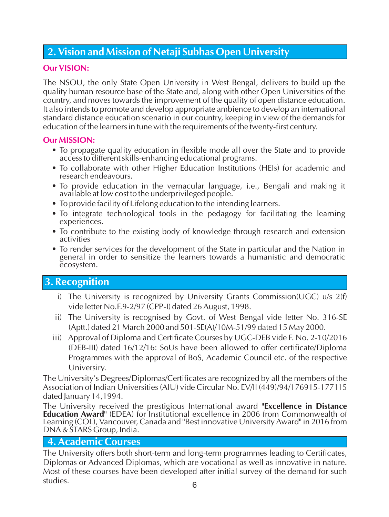# **2. Vision and Mission of Netaji Subhas Open University**

#### **Our VISION:**

The NSOU, the only State Open University in West Bengal, delivers to build up the quality human resource base of the State and, along with other Open Universities of the country, and moves towards the improvement of the quality of open distance education. It also intends to promote and develop appropriate ambience to develop an international standard distance education scenario in our country, keeping in view of the demands for education of the learners in tune with the requirements of the twenty-first century.

#### **Our MISSION:**

- To propagate quality education in flexible mode all over the State and to provide access to different skills-enhancing educational programs.
- To collaborate with other Higher Education Institutions (HEIs) for academic and research endeavours.
- To provide education in the vernacular language, i.e., Bengali and making it available at low cost to the underprivileged people.
- To provide facility of Lifelong education to the intending learners.
- To integrate technological tools in the pedagogy for facilitating the learning experiences.
- To contribute to the existing body of knowledge through research and extension activities
- To render services for the development of the State in particular and the Nation in general in order to sensitize the learners towards a humanistic and democratic ecosystem.

# **3. Recognition**

- i) The University is recognized by University Grants Commission(UGC)  $u/s$  2(f) vide letter No.F.9-2/97 (CPP-I) dated 26 August, 1998.
- ii) The University is recognised by Govt. of West Bengal vide letter No. 316-SE (Aptt.) dated 21 March 2000 and 501-SE(A)/10M-51/99 dated 15 May 2000.
- iii) Approval of Diploma and Certificate Courses by UGC-DEB vide F. No. 2-10/2016 (DEB-III) dated 16/12/16: SoUs have been allowed to offer certificate/Diploma Programmes with the approval of BoS, Academic Council etc. of the respective Universiry.

The University's Degrees/Diplomas/Certificates are recognized by all the members of the Association of Indian Universities (AIU) vide Circular No. EV/II (449)/94/176915-177115 dated January 14,1994.

The University received the prestigious International award **"Excellence in Distance Education Award"** (EDEA) for Institutional excellence in 2006 from Commonwealth of Learning (COL), Vancouver, Canada and "Best innovative University Award" in 2016 from DNA& STARS Group, India.

#### **4. Academic Courses**

The University offers both short-term and long-term programmes leading to Certificates, Diplomas or Advanced Diplomas, which are vocational as well as innovative in nature. Most of these courses have been developed after initial survey of the demand for such studies. studies. 6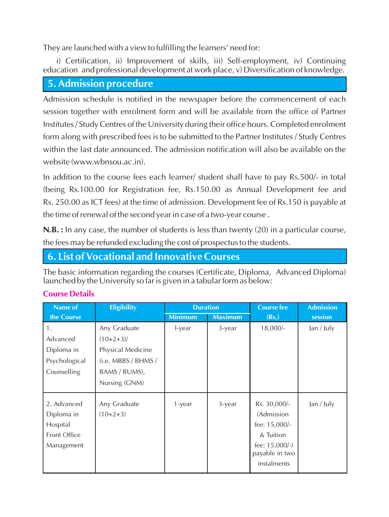They are launched with a view to fulfilling the learners' need for:

i) Certification, ii) Improvement of skills, iii) Self-employment, iv) Continuing education and professional development at work place, v) Diversification of knowledge.

#### **5. Admission procedure**

Admission schedule is notified in the newspaper before the commencement of each session together with enrolment form and will be available from the office of Partner Institutes / Study Centres of the University during their office hours. Completed enrolment form along with prescribed fees is to be submitted to the Partner Institutes / Study Centres within the last date announced. The admission notification will also be available on the website (www.wbnsou.ac.in).

In addition to the course fees each learner/ student shall have to pay Rs.500/- in total (being Rs.100.00 for Registration fee, Rs.150.00 as Annual Development fee and Rs. 250.00 as ICT fees) at the time of admission. Development fee of Rs.150 is payable at the time of renewal of the second year in case of a two-year course .

**N.B.** : In any case, the number of students is less than twenty (20) in a particular course, the fees may be refunded excluding the cost of prospectus to the students.

#### **6. List of Vocational and Innovative Courses**

The basic information regarding the courses (Certificate, Diploma, Advanced Diploma) launched by the University so far is given in a tabular form as below:

| Name of                                                                    | <b>Eligibility</b>         | <b>Duration</b> |                | <b>Course fee</b>                                                                                              | <b>Admission</b> |
|----------------------------------------------------------------------------|----------------------------|-----------------|----------------|----------------------------------------------------------------------------------------------------------------|------------------|
| the Course                                                                 |                            | <b>Minimum</b>  | <b>Maximum</b> | (Rs.)                                                                                                          | session          |
| 1.                                                                         | Any Graduate               | l-year          | 3-year         | $18,000/-$                                                                                                     | Jan / July       |
| Advanced                                                                   | $(10+2+3)$                 |                 |                |                                                                                                                |                  |
| Diploma in                                                                 | Physical Medicine          |                 |                |                                                                                                                |                  |
| Psychological                                                              | (i.e. MBBS/BHMS/           |                 |                |                                                                                                                |                  |
| Counselling                                                                | BAMS / BUMS),              |                 |                |                                                                                                                |                  |
|                                                                            | Nursing (GNM)              |                 |                |                                                                                                                |                  |
| 2. Advanced<br>Diploma in<br>Hospital<br><b>Front Office</b><br>Management | Any Graduate<br>$(10+2+3)$ | 1-year          | 3-year         | Rs. 30,000/-<br>(Admission<br>fee: 15,000/-<br>& Tuition<br>fee: $15,000/-$ )<br>payable in two<br>instalments | Jan / July       |

#### **Course Details**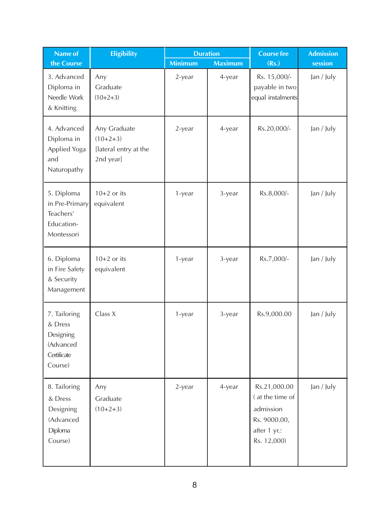| Name of                                                                     | <b>Eligibility</b>                                               | <b>Duration</b> |                | <b>Course fee</b>                                                                           | <b>Admission</b> |
|-----------------------------------------------------------------------------|------------------------------------------------------------------|-----------------|----------------|---------------------------------------------------------------------------------------------|------------------|
| the Course                                                                  |                                                                  | <b>Minimum</b>  | <b>Maximum</b> | (Rs.)                                                                                       | session          |
| 3. Advanced<br>Diploma in<br>Needle Work<br>& Knitting                      | Any<br>Graduate<br>$(10+2+3)$                                    | 2-year          | 4-year         | Rs. 15,000/-<br>payable in two<br>equal instalments                                         | Jan / July       |
| 4. Advanced<br>Diploma in<br>Applied Yoga<br>and<br>Naturopathy             | Any Graduate<br>$(10+2+3)$<br>[lateral entry at the<br>2nd year] | 2-year          | 4-year         | Rs.20,000/-                                                                                 | Jan / July       |
| 5. Diploma<br>in Pre-Primary<br>Teachers'<br>Education-<br>Montessori       | $10+2$ or its<br>equivalent                                      | 1-year          | 3-year         | Rs.8,000/-                                                                                  | Jan / July       |
| 6. Diploma<br>in Fire Safety<br>& Security<br>Management                    | $10+2$ or its<br>equivalent                                      | 1-year          | 3-year         | Rs.7,000/-                                                                                  | Jan / July       |
| 7. Tailoring<br>& Dress<br>Designing<br>(Advanced<br>Certificate<br>Course) | Class X                                                          | 1-year          | 3-year         | Rs.9,000.00                                                                                 | Jan / July       |
| 8. Tailoring<br>& Dress<br>Designing<br>(Advanced<br>Diploma<br>Course)     | Any<br>Graduate<br>$(10+2+3)$                                    | 2-year          | 4-year         | Rs.21,000.00<br>(at the time of<br>admission<br>Rs. 9000.00,<br>after 1 yr.:<br>Rs. 12,000) | Jan / July       |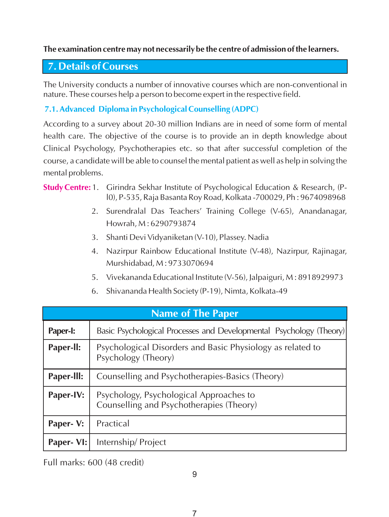#### **The examination centre may not necessarily be the centre of admission of the learners.**

## **7. Details of Courses**

The University conducts a number of innovative courses which are non-conventional in nature. These courses help a person to become expert in the respective field.

#### **7.1. Advanced Diploma in Psychological Counselling (ADPC)**

According to a survey about 20-30 million Indians are in need of some form of mental health care. The objective of the course is to provide an in depth knowledge about Clinical Psychology, Psychotherapies etc. so that after successful completion of the course, a candidate will be able to counsel the mental patient as well as help in solving the mental problems.

#### **Study Centre:** 1. Girindra Sekhar Institute of Psychological Education & Research, (Pl0), P-535, Raja Basanta Roy Road, Kolkata -700029, Ph : 9674098968

- 2. Surendralal Das Teachers' Training College (V-65), Anandanagar, Howrah, M : 6290793874
- 3. Shanti Devi Vidyaniketan (V-10), Plassey. Nadia
- 4. Nazirpur Rainbow Educational Institute (V-48), Nazirpur, Rajinagar, Murshidabad, M : 9733070694
- 5. Vivekananda Educational Institute (V-56), Jalpaiguri, M : 8918929973
- 6. Shivananda Health Society (P-19), Nimta, Kolkata-49

|                  | <b>Name of The Paper</b>                                                            |
|------------------|-------------------------------------------------------------------------------------|
| <b>Paper-I:</b>  | Basic Psychological Processes and Developmental Psychology (Theory)                 |
| Paper-II:        | Psychological Disorders and Basic Physiology as related to<br>Psychology (Theory)   |
| Paper-III:       | Counselling and Psychotherapies-Basics (Theory)                                     |
| <b>Paper-IV:</b> | Psychology, Psychological Approaches to<br>Counselling and Psychotherapies (Theory) |
| Paper- V:        | Practical                                                                           |
| Paper- VI:       | Internship/Project                                                                  |

Full marks: 600 (48 credit)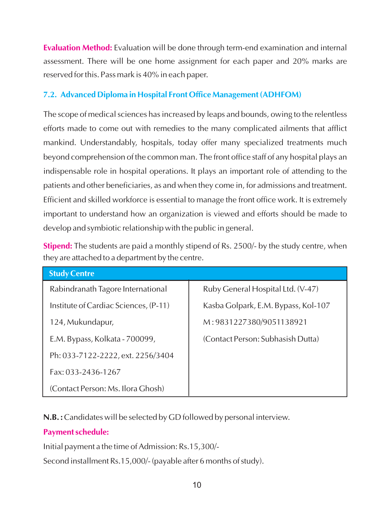**Evaluation Method:** Evaluation will be done through term-end examination and internal assessment. There will be one home assignment for each paper and 20% marks are reserved for this. Pass mark is 40% in each paper.

#### **7.2. Advanced Diploma in Hospital Front Office Management (ADHFOM)**

The scope of medical sciences has increased by leaps and bounds, owing to the relentless efforts made to come out with remedies to the many complicated ailments that afflict mankind. Understandably, hospitals, today offer many specialized treatments much beyond comprehension of the common man. The front office staff of any hospital plays an indispensable role in hospital operations. It plays an important role of attending to the patients and other beneficiaries, as and when they come in, for admissions and treatment. Efficient and skilled workforce is essential to manage the front office work. It is extremely important to understand how an organization is viewed and efforts should be made to develop and symbiotic relationship with the public in general.

**Stipend:** The students are paid a monthly stipend of Rs. 2500/- by the study centre, when they are attached to a department by the centre.

| <b>Study Centre</b>                   |                                     |
|---------------------------------------|-------------------------------------|
| Rabindranath Tagore International     | Ruby General Hospital Ltd. (V-47)   |
| Institute of Cardiac Sciences, (P-11) | Kasba Golpark, E.M. Bypass, Kol-107 |
| 124, Mukundapur,                      | M:9831227380/9051138921             |
| E.M. Bypass, Kolkata - 700099,        | (Contact Person: Subhasish Dutta)   |
| Ph: 033-7122-2222, ext. 2256/3404     |                                     |
| Fax: 033-2436-1267                    |                                     |
| (Contact Person: Ms. Ilora Ghosh)     |                                     |

**N.B. :**Candidates will be selected by GD followed by personal interview.

#### **Payment schedule:**

Initial payment a the time of Admission: Rs.15,300/-

Second installment Rs.15,000/- (payable after 6 months of study).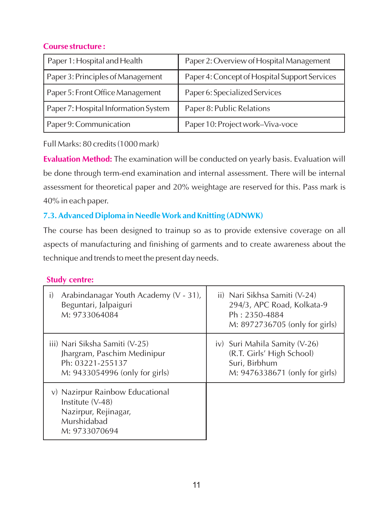#### **Course structure :**

| Paper 1: Hospital and Health         | Paper 2: Overview of Hospital Management      |
|--------------------------------------|-----------------------------------------------|
| Paper 3: Principles of Management    | Paper 4: Concept of Hospital Support Services |
| Paper 5: Front Office Management     | Paper 6: Specialized Services                 |
| Paper 7: Hospital Information System | Paper 8: Public Relations                     |
| Paper 9: Communication               | Paper 10: Project work-Viva-voce              |

Full Marks: 80 credits (1000 mark)

**Evaluation Method:** The examination will be conducted on yearly basis. Evaluation will be done through term-end examination and internal assessment. There will be internal assessment for theoretical paper and 20% weightage are reserved for this. Pass mark is 40% in each paper.

#### **7.3. Advanced Diploma in Needle Work and Knitting (ADNWK)**

The course has been designed to trainup so as to provide extensive coverage on all aspects of manufacturing and finishing of garments and to create awareness about the technique and trends to meet the present day needs.

#### **Study centre:**

| Arabindanagar Youth Academy (V - 31),                                                                       | ii) Nari Sikhsa Samiti (V-24)  |
|-------------------------------------------------------------------------------------------------------------|--------------------------------|
| i)                                                                                                          | 294/3, APC Road, Kolkata-9     |
| Beguntari, Jalpaiguri                                                                                       | Ph: 2350-4884                  |
| M: 9733064084                                                                                               | M: 8972736705 (only for girls) |
| iii) Nari Siksha Samiti (V-25)                                                                              | iv) Suri Mahila Samity (V-26)  |
| Jhargram, Paschim Medinipur                                                                                 | (R.T. Girls' High School)      |
| Ph: 03221-255137                                                                                            | Suri, Birbhum                  |
| M: 9433054996 (only for girls)                                                                              | M: 9476338671 (only for girls) |
| v) Nazirpur Rainbow Educational<br>Institute (V-48)<br>Nazirpur, Rejinagar,<br>Murshidabad<br>M: 9733070694 |                                |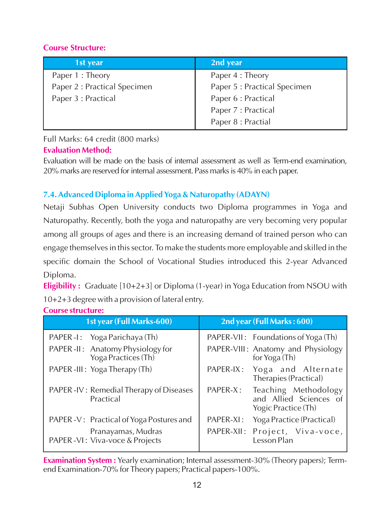#### **Course Structure:**

| 1st year                     | 2nd year                     |
|------------------------------|------------------------------|
| Paper 1 : Theory             | Paper 4 : Theory             |
| Paper 2 : Practical Specimen | Paper 5 : Practical Specimen |
| Paper 3 : Practical          | Paper 6 : Practical          |
|                              | Paper 7 : Practical          |
|                              | Paper 8 : Practial           |

Full Marks: 64 credit (800 marks)

#### **Evaluation Method:**

Evaluation will be made on the basis of internal assessment as well as Term-end examination, 20% marks are reserved for internal assessment. Pass marks is 40% in each paper.

# **7.4. Advanced Diploma in Applied Yoga & Naturopathy (ADAYN)**

Netaji Subhas Open University conducts two Diploma programmes in Yoga and Naturopathy. Recently, both the yoga and naturopathy are very becoming very popular among all groups of ages and there is an increasing demand of trained person who can engage themselves in this sector. To make the students more employable and skilled in the specific domain the School of Vocational Studies introduced this 2-year Advanced Diploma.

**Eligibility :** Graduate [10+2+3] or Diploma (1-year) in Yoga Education from NSOU with 10+2+3 degree with a provision of lateral entry.

| 1st year (Full Marks-600)                                | 2nd year (Full Marks: 600)                                                        |
|----------------------------------------------------------|-----------------------------------------------------------------------------------|
| PAPER - I: Yoga Parichaya (Th)                           | PAPER-VII: Foundations of Yoga (Th)                                               |
| PAPER -II: Anatomy Physiology for<br>Yoga Practices (Th) | PAPER-VIII: Anatomy and Physiology<br>for Yoga (Th)                               |
| PAPER-III: Yoga Therapy (Th)                             | PAPER-IX: Yoga and Alternate<br>Therapies (Practical)                             |
| PAPER - IV: Remedial Therapy of Diseases<br>Practical    | PAPER-X:<br>Teaching Methodology<br>and Allied Sciences of<br>Yogic Practice (Th) |
| PAPER - V: Practical of Yoga Postures and                | PAPER-XI: Yoga Practice (Practical)                                               |
| Pranayamas, Mudras<br>PAPER - VI: Viva-voce & Projects   | PAPER-XII: Project, Viva-voce,<br>Lesson Plan                                     |

**Course structure:** 

**Examination System :** ֺֺ֖֖֖֖֖֚֕ Yearly examination; Internal assessment-30% (Theory papers); Termend Examination-70% for Theory papers; Practical papers-100%.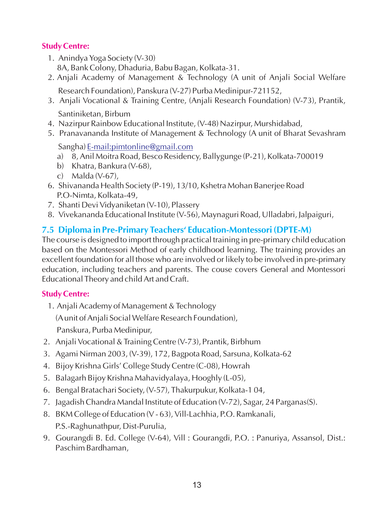#### **Study Centre:**

- 1. Anindya Yoga Society (V-30) 8A, Bank Colony, Dhaduria, Babu Bagan, Kolkata-31.
- 2. Anjali Academy of Management & Technology (A unit of Anjali Social Welfare Research Foundation), Panskura (V-27) Purba Medinipur-721152,
- 3. Anjali Vocational & Training Centre, (Anjali Research Foundation) (V-73), Prantik, Santiniketan, Birbum
- 4. Nazirpur Rainbow Educational Institute, (V-48) Nazirpur, Murshidabad,
- 5. Pranavananda Institute of Management & Technology (A unit of Bharat Sevashram

Sangha) [E-mail:pimtonline@gmail.com](mailto:E-mail:pimtonline@gmail.com)

- a) 8, Anil Moitra Road, Besco Residency, Ballygunge (P-21), Kolkata-700019
- b) Khatra, Bankura (V-68),
- c) Malda (V-67),
- 6. Shivananda Health Society (P-19), 13/10, Kshetra Mohan Banerjee Road P.O-Nimta, Kolkata-49,
- 7. Shanti Devi Vidyaniketan (V-10), Plassery
- 8. Vivekananda Educational Institute (V-56), Maynaguri Road, Ulladabri, Jalpaiguri,

#### **7.5 Diploma in Pre-Primary Teachers' Education-Montessori (DPTE-M)**

The course is designed to import through practical training in pre-primary child education based on the Montessori Method of early childhood learning. The training provides an excellent foundation for all those who are involved or likely to be involved in pre-primary education, including teachers and parents. The couse covers General and Montessori Educational Theory and child Art and Craft.

#### **Study Centre:**

1. Anjali Academy of Management & Technology

(Aunit of Anjali Social Welfare Research Foundation),

Panskura, Purba Medinipur,

- 2. Anjali Vocational & Training Centre (V-73), Prantik, Birbhum
- 3. Agami Nirman 2003, (V-39), 172, Bagpota Road, Sarsuna, Kolkata-62
- 4. Bijoy Krishna Girls' College Study Centre (C-08), Howrah
- 5. Balagarh Bijoy Krishna Mahavidyalaya, Hooghly (L-05),
- 6. Bengal Bratachari Society, (V-57), Thakurpukur, Kolkata-1 04,
- 7. Jagadish Chandra Mandal Institute of Education (V-72), Sagar, 24 Parganas(S).
- 8. BKM College of Education (V 63), Vill-Lachhia, P.O. Ramkanali, P.S.-Raghunathpur, Dist-Purulia,
- 9. Gourangdi B. Ed. College (V-64), Vill : Gourangdi, P.O. : Panuriya, Assansol, Dist.: Paschim Bardhaman,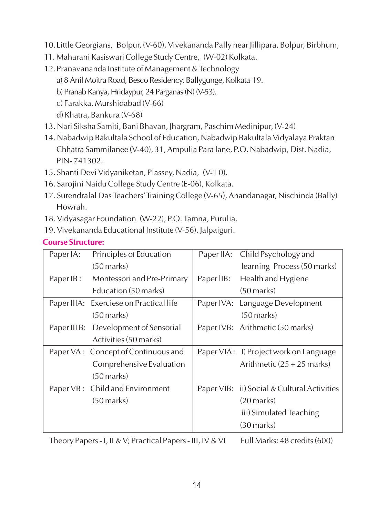- 10.Little Georgians, Bolpur, (V-60), Vivekananda Pally near Jillipara, Bolpur, Birbhum,
- 11. Maharani Kasiswari College Study Centre, (W-02) Kolkata.
- 12.Pranavananda Institute of Management & Technology
	- a) 8 Anil Moitra Road, Besco Residency, Ballygunge, Kolkata-19.
	- b) Pranab Kanya, Hridaypur, 24 Parganas (N) (V-53).
	- c) Farakka, Murshidabad (V-66)
	- d) Khatra, Bankura (V-68)
- 13. Nari Siksha Samiti, Bani Bhavan, Jhargram, Paschim Medinipur, (V-24)
- 14. Nabadwip Bakultala School of Education, Nabadwip Bakultala Vidyalaya Praktan Chhatra Sammilanee (V-40), 31, Ampulia Para lane, P.O. Nabadwip, Dist. Nadia, PIN- 741302.
- 15. Shanti Devi Vidyaniketan, Plassey, Nadia, (V-1 0).
- 16. Sarojini Naidu College Study Centre (E-06), Kolkata.
- 17. Surendralal Das Teachers'Training College (V-65), Anandanagar, Nischinda (Bally) Howrah.
- 18. Vidyasagar Foundation (W-22), P.O. Tamna, Purulia.
- 19. Vivekananda Educational Institute (V-56), Jalpaiguri.

#### **Course Structure:**

| Paper IA: | Principles of Education                 | Paper IIA: | Child Psychology and                        |
|-----------|-----------------------------------------|------------|---------------------------------------------|
|           | (50 marks)                              |            | learning Process (50 marks)                 |
| Paper IB: | Montessori and Pre-Primary              | Paper IIB: | Health and Hygiene                          |
|           | Education (50 marks)                    |            | (50 marks)                                  |
|           | Paper IIIA: Exerciese on Practical life |            | Paper IVA: Language Development             |
|           | (50 marks)                              |            | $(50$ marks)                                |
|           | Paper III B: Development of Sensorial   |            | Paper IVB: Arithmetic (50 marks)            |
|           | Activities (50 marks)                   |            |                                             |
|           | Paper VA: Concept of Continuous and     |            | Paper VIA: I) Project work on Language      |
|           | Comprehensive Evaluation                |            | Arithmetic $(25 + 25$ marks)                |
|           | (50 marks)                              |            |                                             |
|           | Paper VB: Child and Environment         |            | Paper VIB: ii) Social & Cultural Activities |
|           | (50 marks)                              |            | $(20$ marks)                                |
|           |                                         |            | iii) Simulated Teaching                     |
|           |                                         |            | $(30 \text{ marks})$                        |

Theory Papers - I, II & V; Practical Papers - III, IV & VI Full Marks: 48 credits (600)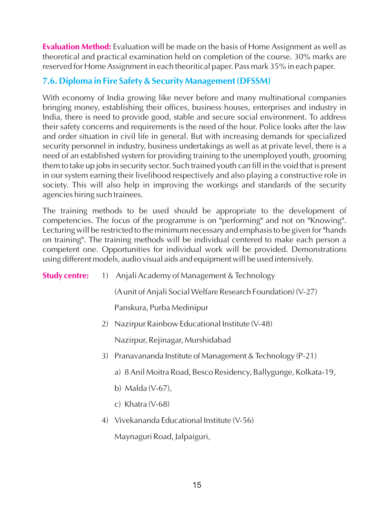**Evaluation Method:** Evaluation will be made on the basis of Home Assignment as well as theoretical and practical examination held on completion of the course. 30% marks are reserved for Home Assignment in each theoritical paper. Pass mark 35% in each paper.

#### **7.6. Diploma in Fire Safety & Security Management (DFSSM)**

With economy of India growing like never before and many multinational companies bringing money, establishing their offices, business houses, enterprises and industry in India, there is need to provide good, stable and secure social environment. To address their safety concerns and requirements is the need of the hour. Police looks after the law and order situation in civil life in general. But with increasing demands for specialized security personnel in industry, business undertakings as well as at private level, there is a need of an established system for providing training to the unemployed youth, grooming them to take up jobs in security sector. Such trained youth can fill in the void that is present in our system earning their livelihood respectively and also playing a constructive role in society. This will also help in improving the workings and standards of the security agencies hiring such trainees.

The training methods to be used should be appropriate to the development of competencies. The focus of the programme is on "performing" and not on "Knowing". Lecturing will be restricted to the minimum necessary and emphasis to be given for "hands on training". The training methods will be individual centered to make each person a competent one. Opportunities for individual work will be provided. Demonstrations using different models, audio visual aids and equipment will be used intensively.

**Study centre:**  1) Anjali Academy of Management & Technology

(Aunit of Anjali Social Welfare Research Foundation) (V-27)

Panskura, Purba Medinipur

2) Nazirpur Rainbow Educational Institute (V-48)

Nazirpur, Rejinagar, Murshidabad

- 3) Pranavananda Institute of Management & Technology (P-21)
	- a) 8 Anil Moitra Road, Besco Residency, Ballygunge, Kolkata-19,
	- b) Malda (V-67),
	- c) Khatra (V-68)
- 4) Vivekananda Educational Institute (V-56)

Maynaguri Road, Jalpaiguri,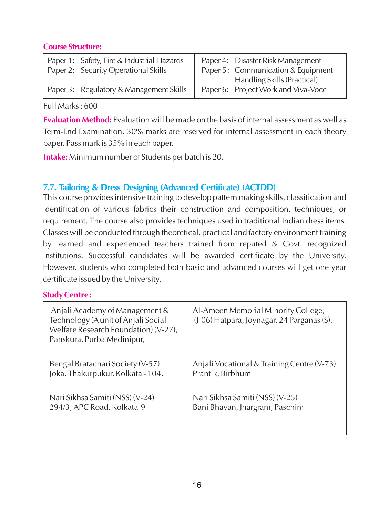#### **Course Structure:**

| Paper 1: Safety, Fire & Industrial Hazards<br>Paper 2: Security Operational Skills | Paper 4: Disaster Risk Management<br>Paper 5: Communication & Equipment   |
|------------------------------------------------------------------------------------|---------------------------------------------------------------------------|
| Paper 3: Regulatory & Management Skills                                            | <b>Handling Skills (Practical)</b><br>Paper 6: Project Work and Viva-Voce |

Full Marks : 600

**Evaluation Method:** Evaluation will be made on the basis of internal assessment as well as Term-End Examination. 30% marks are reserved for internal assessment in each theory paper. Pass mark is 35% in each paper.

**Intake:** Minimum number of Students per batch is 20.

#### **7.7. Tailoring & Dress Designing (Advanced Certificate) (ACTDD)**

This course provides intensive training to develop pattern making skills, classification and identification of various fabrics their construction and composition, techniques, or requirement. The course also provides techniques used in traditional Indian dress items. Classes will be conducted through theoretical, practical and factory environment training by learned and experienced teachers trained from reputed & Govt. recognized institutions. Successful candidates will be awarded certificate by the University. However, students who completed both basic and advanced courses will get one year certificate issued by the University.

#### **Study Centre :**

| Anjali Academy of Management &<br>Technology (A unit of Anjali Social<br>Welfare Research Foundation) (V-27),<br>Panskura, Purba Medinipur, | Al-Ameen Memorial Minority College,<br>(J-06) Hatpara, Joynagar, 24 Parganas (S), |
|---------------------------------------------------------------------------------------------------------------------------------------------|-----------------------------------------------------------------------------------|
| Bengal Bratachari Society (V-57)                                                                                                            | Anjali Vocational & Training Centre (V-73)                                        |
| Joka, Thakurpukur, Kolkata - 104,                                                                                                           | Prantik, Birbhum                                                                  |
| Nari Sikhsa Samiti (NSS) (V-24)                                                                                                             | Nari Sikhsa Samiti (NSS) (V-25)                                                   |
| 294/3, APC Road, Kolkata-9                                                                                                                  | Bani Bhavan, Jhargram, Paschim                                                    |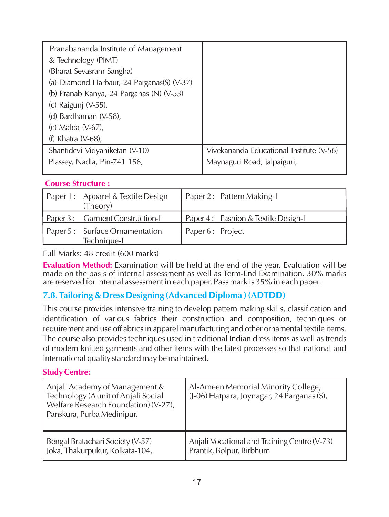| Pranabananda Institute of Management       |                                          |
|--------------------------------------------|------------------------------------------|
| & Technology (PIMT)                        |                                          |
| (Bharat Sevasram Sangha)                   |                                          |
| (a) Diamond Harbaur, 24 Parganas(S) (V-37) |                                          |
| (b) Pranab Kanya, 24 Parganas (N) (V-53)   |                                          |
| (c) Raigunj (V-55),                        |                                          |
| (d) Bardhaman (V-58),                      |                                          |
| (e) Malda (V-67),                          |                                          |
| (f) Khatra $(V-68)$ ,                      |                                          |
| Shantidevi Vidyaniketan (V-10)             | Vivekananda Educational Institute (V-56) |
| Plassey, Nadia, Pin-741 156,               | Maynaguri Road, jalpaiguri,              |
|                                            |                                          |

#### **Course Structure :**

| Paper 1: Apparel & Textile Design<br>(Theory) | Paper 2: Pattern Making-I           |
|-----------------------------------------------|-------------------------------------|
| Paper 3 : Garment Construction-               | Paper 4: Fashion & Textile Design-I |
| Paper 5: Surface Ornamentation<br>Technique-I | Paper 6 : Project                   |

Full Marks: 48 credit (600 marks)

**Evaluation Method:** Examination will be held at the end of the year. Evaluation will be made on the basis of internal assessment as well as Term-End Examination. 30% marks are reserved for internal assessment in each paper. Pass mark is 35% in each paper.

#### **7.8. Tailoring & Dress Designing (Advanced Diploma ) (ADTDD)**

This course provides intensive training to develop pattern making skills, classification and identification of various fabrics their construction and composition, techniques or requirement and use off abrics in apparel manufacturing and other ornamental textile items. The course also provides techniques used in traditional Indian dress items as well as trends of modern knitted garments and other items with the latest processes so that national and international quality standard may be maintained.

#### **Study Centre:**

| Anjali Academy of Management &<br>Technology (A unit of Anjali Social<br>Welfare Research Foundation) (V-27),<br>Panskura, Purba Medinipur, | Al-Ameen Memorial Minority College,<br>$(J-06)$ Hatpara, Joynagar, 24 Parganas (S), |
|---------------------------------------------------------------------------------------------------------------------------------------------|-------------------------------------------------------------------------------------|
| Bengal Bratachari Society (V-57)                                                                                                            | Anjali Vocational and Training Centre (V-73)                                        |
| Joka, Thakurpukur, Kolkata-104,                                                                                                             | Prantik, Bolpur, Birbhum                                                            |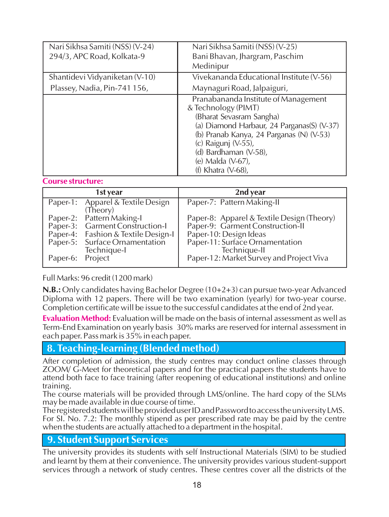| Nari Sikhsa Samiti (NSS) (V-24)<br>294/3, APC Road, Kolkata-9  | Nari Sikhsa Samiti (NSS) (V-25)<br>Bani Bhavan, Jhargram, Paschim<br>Medinipur                                                                                                                                                                                                  |
|----------------------------------------------------------------|---------------------------------------------------------------------------------------------------------------------------------------------------------------------------------------------------------------------------------------------------------------------------------|
| Shantidevi Vidyaniketan (V-10)<br>Plassey, Nadia, Pin-741 156, | Vivekananda Educational Institute (V-56)<br>Maynaguri Road, Jalpaiguri,                                                                                                                                                                                                         |
|                                                                | Pranabananda Institute of Management<br>& Technology (PIMT)<br>(Bharat Sevasram Sangha)<br>(a) Diamond Harbaur, 24 Parganas(S) (V-37)<br>(b) Pranab Kanya, 24 Parganas (N) (V-53)<br>(c) Raigunj (V-55),<br>(d) Bardhaman (V-58),<br>(e) Malda (V-67),<br>(f) Khatra $(V-68)$ , |

#### **Course structure:**

|                  | 1st year                                                                                                                                             | 2nd year                                                                                                                                                    |
|------------------|------------------------------------------------------------------------------------------------------------------------------------------------------|-------------------------------------------------------------------------------------------------------------------------------------------------------------|
|                  | Paper-1: Apparel & Textile Design<br>(Theory)                                                                                                        | Paper-7: Pattern Making-II                                                                                                                                  |
|                  | Paper-2: Pattern Making-I<br>Paper-3: Garment Construction-I<br>Paper-4: Fashion & Textile Design-I<br>Paper-5: Surface Ornamentation<br>Technique-I | Paper-8: Apparel & Textile Design (Theory)<br>Paper-9: Garment Construction-II<br>Paper-10: Design Ideas<br>Paper-11: Surface Ornamentation<br>Technique-II |
| Paper-6: Project |                                                                                                                                                      | Paper-12: Market Survey and Project Viva                                                                                                                    |

Full Marks: 96 credit (1200 mark)

**N.B.:** Only candidates having Bachelor Degree (10+2+3) can pursue two-year Advanced Diploma with 12 papers. There will be two examination (yearly) for two-year course. Completion certificate will be issue to the successful candidates at the end of 2nd year.

**Evaluation Method:** Evaluation will be made on the basis of internal assessment as well as Term-End Examination on yearly basis 30% marks are reserved for internal assessment in each paper. Pass mark is 35% in each paper.

#### **8. Teaching-learning (Blended method)**

After completion of admission, the study centres may conduct online classes through ZOOM/ G-Meet for theoretical papers and for the practical papers the students have to attend both face to face training (after reopening of educational institutions) and online training.

The course materials will be provided through LMS/online. The hard copy of the SLMs may be made available in due course of time.

The registered students will be provided user ID and Password to access the university LMS. For SI. No. 7.2: The monthly stipend as per prescribed rate may be paid by the centre when the students are actually attached to a department in the hospital.

#### **9. Student Support Services**

The university provides its students with self Instructional Materials (SIM) to be studied and learnt by them at their convenience. The university provides various student-support services through a network of study centres. These centres cover all the districts of the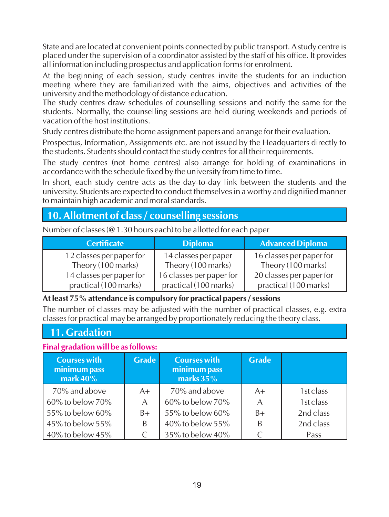State and are located at convenient points connected by public transport. Astudy centre is placed under the supervision of a coordinator assisted by the staff of his office. It provides all information including prospectus and application forms for enrolment.

At the beginning of each session, study centres invite the students for an induction meeting where they are familiarized with the aims, objectives and activities of the university and the methodology of distance education.

The study centres draw schedules of counselling sessions and notify the same for the students. Normally, the counselling sessions are held during weekends and periods of vacation of the host institutions.

Study centres distribute the home assignment papers and arrange for their evaluation.

Prospectus, Information, Assignments etc. are not issued by the Headquarters directly to the students. Students should contact the study centres for all their requirements.

The study centres (not home centres) also arrange for holding of examinations in accordance with the schedule fixed by the university from time to time.

In short, each study centre acts as the day-to-day link between the students and the university. Students are expected to conduct themselves in a worthy and dignified manner to maintain high academic and moral standards.

# **10. Allotment of class / counselling sessions**

Number of classes (@ 1.30 hours each) to be allotted for each paper

| <b>Certificate</b>       | <b>Diploma</b>           | <b>Advanced Diploma</b>  |
|--------------------------|--------------------------|--------------------------|
| 12 classes per paper for | 14 classes per paper     | 16 classes per paper for |
| Theory (100 marks)       | Theory (100 marks)       | Theory (100 marks)       |
| 14 classes per paper for | 16 classes per paper for | 20 classes per paper for |
| practical (100 marks)    | practical (100 marks)    | practical (100 marks)    |

#### **At least 75% attendance is compulsory for practical papers / sessions**

The number of classes may be adjusted with the number of practical classes, e.g. extra classes for practical may be arranged by proportionately reducing the theory class.

# **11. Gradation**

#### **Final gradation will be as follows:**

| <b>Courses with</b><br>minimum pass<br>mark $40\%$ | <b>Grade</b> | <b>Courses with</b><br>minimum pass<br>marks $35%$ | <b>Grade</b> |           |
|----------------------------------------------------|--------------|----------------------------------------------------|--------------|-----------|
| 70% and above                                      | $A+$         | 70% and above                                      | $A+$         | 1st class |
| 60% to below 70%                                   | A            | 60% to below 70%                                   | A            | 1st class |
| 55% to below 60%                                   | $B+$         | 55% to below 60%                                   | $B+$         | 2nd class |
| 45% to below 55%                                   | B            | 40% to below 55%                                   |              | 2nd class |
| 40% to below $45%$                                 |              | 35% to below 40%                                   |              | Pass      |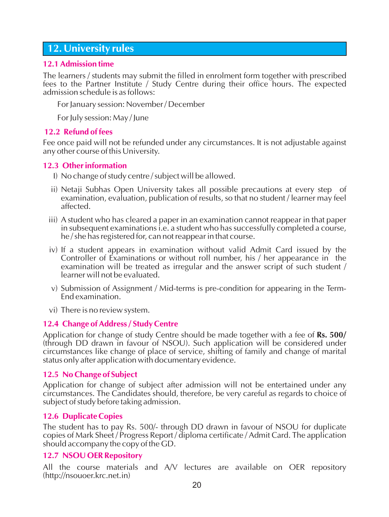#### **12. University rules**

#### **12.1 Admission time**

The learners / students may submit the filled in enrolment form together with prescribed fees to the Partner Institute / Study Centre during their office hours. The expected admission schedule is as follows:

For January session: November / December

For July session: May / June

#### **12.2 Refund of fees**

Fee once paid will not be refunded under any circumstances. It is not adjustable against any other course of this University.

#### **12.3 Other information**

- I) No change of study centre / subject will be allowed.
- ii) Netaji Subhas Open University takes all possible precautions at every step of examination, evaluation, publication of results, so that no student / learner may feel affected.
- iii) A student who has cleared a paper in an examination cannot reappear in that paper in subsequent examinations i.e. a student who has successfully completed a course, he / she has registered for, can not reappear in that course.
- iv) If a student appears in examination without valid Admit Card issued by the Controller of Examinations or without roll number, his / her appearance in the examination will be treated as irregular and the answer script of such student / learner will not be evaluated.
- v) Submission of Assignment / Mid-terms is pre-condition for appearing in the Term-End examination.
- vi) There is no review system.

#### **12.4 Change of Address / Study Centre**

Application for change of study Centre should be made together with a fee of **Rs. 500/**  (through DD drawn in favour of NSOU). Such application will be considered under circumstances like change of place of service, shifting of family and change of marital status only after application with documentary evidence.

#### **12.5 No Change of Subject**

Application for change of subject after admission will not be entertained under any circumstances. The Candidates should, therefore, be very careful as regards to choice of subject of study before taking admission.

#### **12.6 Duplicate Copies**

The student has to pay Rs. 500/- through DD drawn in favour of NSOU for duplicate copies of Mark Sheet / Progress Report / diploma certificate / Admit Card. The application should accompany the copy of the GD.

#### **12.7 NSOU OER Repository**

All the course materials and A/V lectures are available on OER repository (http://nsouoer.krc.net.in)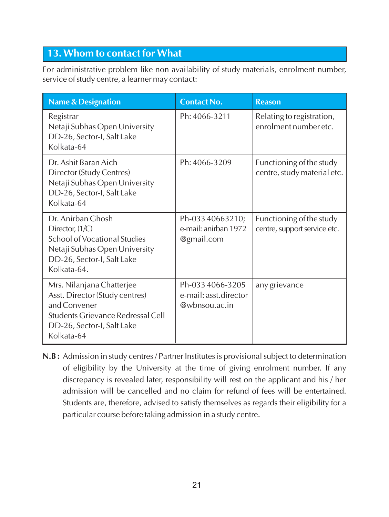# **13. Whom to contact for What**

For administrative problem like non availability of study materials, enrolment number, service of study centre, a learner may contact:

| <b>Name &amp; Designation</b>                                                                                                                                | <b>Contact No.</b>                                         | <b>Reason</b>                                            |
|--------------------------------------------------------------------------------------------------------------------------------------------------------------|------------------------------------------------------------|----------------------------------------------------------|
| Registrar<br>Netaji Subhas Open University<br>DD-26, Sector-I, Salt Lake<br>Kolkata-64                                                                       | Ph: 4066-3211                                              | Relating to registration,<br>enrolment number etc.       |
| Dr. Ashit Baran Aich<br>Director (Study Centres)<br>Netaji Subhas Open University<br>DD-26, Sector-I, Salt Lake<br>Kolkata-64                                | Ph: 4066-3209                                              | Functioning of the study<br>centre, study material etc.  |
| Dr. Anirban Ghosh<br>Director, $(1/C)$<br>School of Vocational Studies<br>Netaji Subhas Open University<br>DD-26, Sector-I, Salt Lake<br>Kolkata-64.         | Ph-033 40663210;<br>e-mail: anirban 1972<br>@gmail.com     | Functioning of the study<br>centre, support service etc. |
| Mrs. Nilanjana Chatterjee<br>Asst. Director (Study centres)<br>and Convener<br>Students Grievance Redressal Cell<br>DD-26, Sector-I, Salt Lake<br>Kolkata-64 | Ph-033 4066-3205<br>e-mail: asst.director<br>@wbnsou.ac.in | any grievance                                            |

**N.B :** Admission in study centres / Partner Institutes is provisional subject to determination of eligibility by the University at the time of giving enrolment number. If any discrepancy is revealed later, responsibility will rest on the applicant and his / her admission will be cancelled and no claim for refund of fees will be entertained. Students are, therefore, advised to satisfy themselves as regards their eligibility for a particular course before taking admission in a study centre.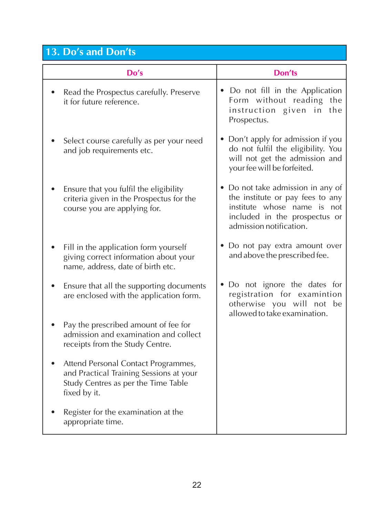# **13. Do's and Don'ts**

| Do's                                                                                                                                  | Don'ts                                                                                                                                                           |
|---------------------------------------------------------------------------------------------------------------------------------------|------------------------------------------------------------------------------------------------------------------------------------------------------------------|
| Read the Prospectus carefully. Preserve<br>it for future reference.                                                                   | • Do not fill in the Application<br>Form without reading the<br>instruction given in the<br>Prospectus.                                                          |
| Select course carefully as per your need<br>and job requirements etc.                                                                 | • Don't apply for admission if you<br>do not fulfil the eligibility. You<br>will not get the admission and<br>your fee will be forfeited.                        |
| Ensure that you fulfil the eligibility<br>criteria given in the Prospectus for the<br>course you are applying for.                    | • Do not take admission in any of<br>the institute or pay fees to any<br>institute whose name is not<br>included in the prospectus or<br>admission notification. |
| Fill in the application form yourself<br>giving correct information about your<br>name, address, date of birth etc.                   | • Do not pay extra amount over<br>and above the prescribed fee.                                                                                                  |
| Ensure that all the supporting documents<br>are enclosed with the application form.                                                   | • Do not ignore the dates for<br>registration for examintion<br>otherwise you will not be<br>allowed to take examination.                                        |
| Pay the prescribed amount of fee for<br>admission and examination and collect<br>receipts from the Study Centre.                      |                                                                                                                                                                  |
| Attend Personal Contact Programmes,<br>and Practical Training Sessions at your<br>Study Centres as per the Time Table<br>fixed by it. |                                                                                                                                                                  |
| Register for the examination at the<br>appropriate time.                                                                              |                                                                                                                                                                  |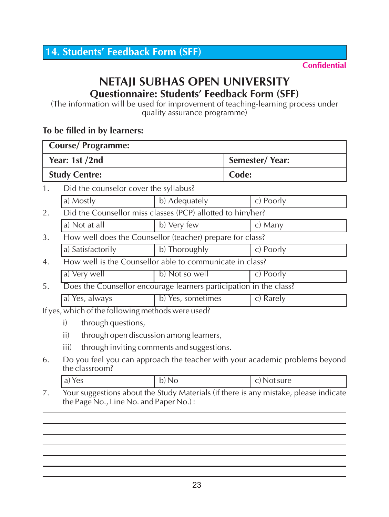# **NETAJI SUBHAS OPEN UNIVERSITY Questionnaire: Students' Feedback Form (SFF)**

(The information will be used for improvement of teaching-learning process under quality assurance programme)

#### **To be filled in by learners:**

| <b>Course/Programme:</b> |                                                          |                                                                    |       |           |
|--------------------------|----------------------------------------------------------|--------------------------------------------------------------------|-------|-----------|
|                          | Year: 1st /2nd<br>Semester/Year:                         |                                                                    |       |           |
|                          | <b>Study Centre:</b>                                     |                                                                    | Code: |           |
| 1.                       | Did the counselor cover the syllabus?                    |                                                                    |       |           |
|                          | a) Mostly                                                | b) Adequately                                                      |       | c) Poorly |
| 2.                       |                                                          | Did the Counsellor miss classes (PCP) allotted to him/her?         |       |           |
|                          | a) Not at all                                            | b) Very few                                                        |       | c) Many   |
| 3.                       |                                                          | How well does the Counsellor (teacher) prepare for class?          |       |           |
|                          | a) Satisfactorily                                        | b) Thoroughly                                                      |       | c) Poorly |
| 4.                       | How well is the Counsellor able to communicate in class? |                                                                    |       |           |
|                          | a) Very well                                             | b) Not so well                                                     |       | c) Poorly |
| 5.                       |                                                          | Does the Counsellor encourage learners participation in the class? |       |           |
|                          | a) Yes, always                                           | b) Yes, sometimes                                                  |       | c) Rarely |
|                          | If yes, which of the following methods were used?        |                                                                    |       |           |

- i) through questions,
- ii) through open discussion among learners,
- iii) through inviting comments and suggestions.
- 6. Do you feel you can approach the teacher with your academic problems beyond the classroom?

| ، د<br>l d)<br>$\sim$ | ∽<br>IJ)<br>◡ | it sure<br>◡ |
|-----------------------|---------------|--------------|
|                       |               |              |

7. Your suggestions about the Study Materials (if there is any mistake, please indicate the Page No., Line No. and Paper No.) :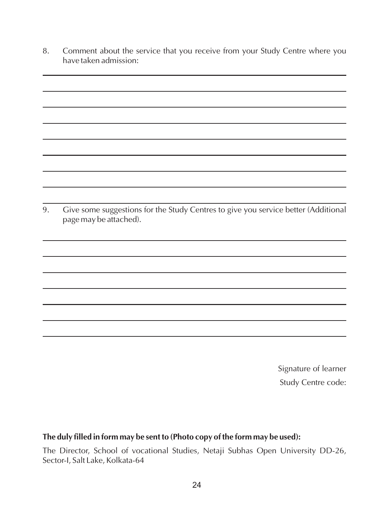8. Comment about the service that you receive from your Study Centre where you have taken admission:

9. Give some suggestions for the Study Centres to give you service better (Additional page may be attached).

> Signature of learner Study Centre code:

#### **The duly filled in form may be sent to (Photo copy of the form may be used):**

The Director, School of vocational Studies, Netaji Subhas Open University DD-26, Sector-I, Salt Lake, Kolkata-64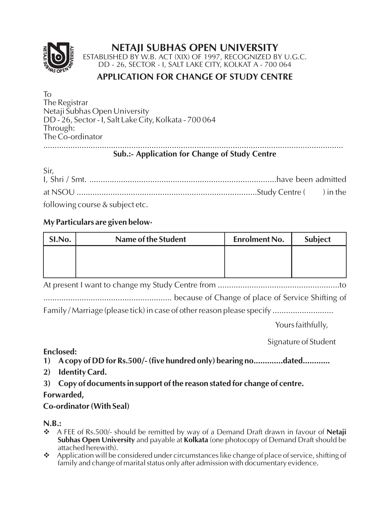#### **NETAJI SUBHAS OPEN UNIVERSITY**



ESTABLISHED BY W.B. ACT (XIX) OF 1997, RECOGNIZED BY U.G.C. DD - 26, SECTOR - I, SALT LAKE CITY, KOLKAT A - 700 064

#### **APPLICATION FOR CHANGE OF STUDY CENTRE**

To The Registrar Netaji Subhas Open University DD - 26, Sector - I, Salt Lake City, Kolkata - 700 064 Through: The Co-ordinator .....................................................................................................................................

#### **Sub.:- Application for Change of Study Centre**

| Sir, |  |
|------|--|
|      |  |

following course & subject etc.

#### **My Particulars are given below·**

| SI.No. | Name of the Student | <b>Enrolment No.</b> | Subject |
|--------|---------------------|----------------------|---------|
|        |                     |                      |         |
|        |                     |                      |         |
|        |                     |                      |         |

At present I want to change my Study Centre from ......................................................to

......................................................... because of Change of place of Service Shifting of

Family / Marriage (please tick) in case of other reason please specify ............................

Yours faithfully,

Signature of Student

#### **Enclosed:**

**1) Acopy of DD for Rs.500/- (five hundred only) bearing no.............dated............**

- **2) Identity Card.**
- **3) Copy of documents in support of the reason stated for change of centre.**

#### **Forwarded,**

#### **Co-ordinator (With Seal)**

#### **N.B.:**

- **→** A FEE of Rs.500/- should be remitted by way of a Demand Draft drawn in favour of **Netaji Subhas Open University** and payable at **Kolkata** (one photocopy of Demand Draft should be attached herewith).
- ◆ Application will be considered under circumstances like change of place of service, shifting of family and change of marital status only after admission with documentary evidence.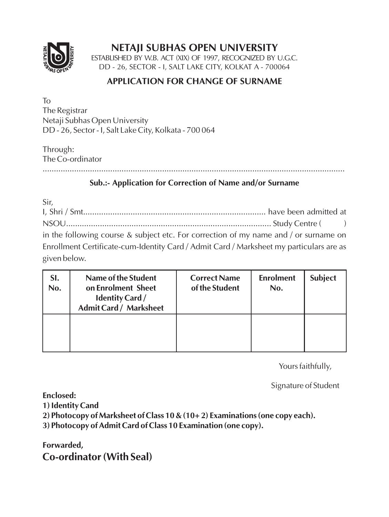

# **NETAJI SUBHAS OPEN UNIVERSITY**

ESTABLISHED BY W.B. ACT (XIX) OF 1997, RECOGNIZED BY U.G.C. DD - 26, SECTOR - I, SALT LAKE CITY, KOLKAT A - 700064

#### **APPLICATION FOR CHANGE OF SURNAME**

To The Registrar Netaji Subhas Open University DD - 26, Sector - I, Salt Lake City, Kolkata - 700 064

Through: The Co-ordinator

......................................................................................................................................

#### **Sub.:- Application for Correction of Name and/or Surname**

Sir,

I, Shri / Smt................................................................................. have been admitted at NSOU........................................................................................... Study Centre ( ) in the following course & subject etc. For correction of my name and / or surname on Enrollment Certificate-cum-Identity Card / Admit Card / Marksheet my particulars are as given below.

| SI.<br>No. | Name of the Student<br>on Enrolment Sheet<br><b>Identity Card /</b><br><b>Admit Card / Marksheet</b> | <b>Correct Name</b><br>of the Student | <b>Enrolment</b><br>No. | <b>Subject</b> |
|------------|------------------------------------------------------------------------------------------------------|---------------------------------------|-------------------------|----------------|
|            |                                                                                                      |                                       |                         |                |

Yours faithfully,

Signature of Student

**Enclosed:** 

**1) Identity Cand** 

**2) Photocopy of Marksheet of Class 10 & (10+ 2) Examinations (one copy each).** 

**3) Photocopy of Admit Card of Class 10 Examination (one copy).** 

**Forwarded, Co-ordinator (With Seal)**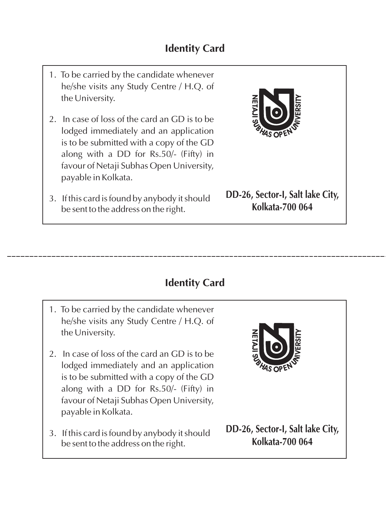- 1. To be carried by the candidate whenever he/she visits any Study Centre / H.Q. of the University.
- 2. In case of loss of the card an GD is to be lodged immediately and an application is to be submitted with a copy of the GD along with a DD for Rs.50/- (Fifty) in favour of Netaji Subhas Open University, payable in Kolkata.
- 3. If this card is found by anybody it should be sent to the address on the right.



**DD-26, Sector-I, Salt lake City, Kolkata-700 064**

# **Identity Card**

- 1. To be carried by the candidate whenever he/she visits any Study Centre / H.Q. of the University.
- 2. In case of loss of the card an GD is to be lodged immediately and an application is to be submitted with a copy of the GD along with a DD for Rs.50/- (Fifty) in favour of Netaji Subhas Open University, payable in Kolkata.
- 3. If this card is found by anybody it should be sent to the address on the right.



**DD-26, Sector-I, Salt lake City, Kolkata-700 064**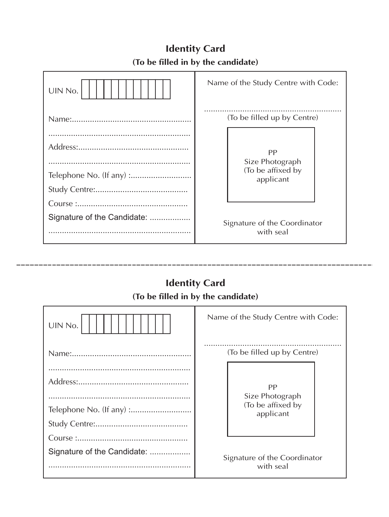| UIN No.                     | Name of the Study Centre with Code:                     |
|-----------------------------|---------------------------------------------------------|
|                             | (To be filled up by Centre)                             |
|                             | PP<br>Size Photograph<br>(To be affixed by<br>applicant |
| Signature of the Candidate: | Signature of the Coordinator<br>with seal               |

# **Identity Card (To be filled in by the candidate)**

# **Identity Card**

\_\_\_\_\_\_\_\_\_\_

#### **(To be filled in by the candidate)**

| UIN No.                     | Name of the Study Centre with Code:       |  |  |
|-----------------------------|-------------------------------------------|--|--|
|                             | (To be filled up by Centre)               |  |  |
|                             | PP<br>Size Photograph                     |  |  |
|                             | (To be affixed by<br>applicant            |  |  |
|                             |                                           |  |  |
| Signature of the Candidate: | Signature of the Coordinator<br>with seal |  |  |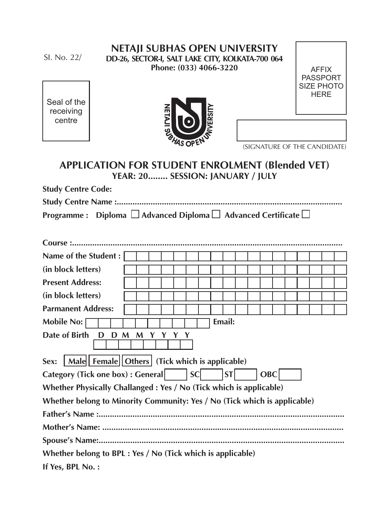SI. No. 22/

#### **NETAJI SUBHAS OPEN UNIVERSITY DD-26, SECTOR-I, SALT LAKE CITY, KOLKATA-700 064 Phone: (033) 4066-3220**

AFFIX PASSPORT SIZE PHOTO **HERE** 

Seal of the receiving centre



(SIGNATURE OF THE CANDIDATE)

# **APPLICATION FOR STUDENT ENROLMENT (Blended VET) YEAR: 20........ SESSION: JANUARY / JULY**

**Study Centre Code:** 

| Programme : Diploma $\Box$ Advanced Diploma $\Box$ Advanced Certificate $\Box$ |
|--------------------------------------------------------------------------------|

| Name of the Student:                                                      |  |  |  |  |  |
|---------------------------------------------------------------------------|--|--|--|--|--|
| (in block letters)                                                        |  |  |  |  |  |
| <b>Present Address:</b>                                                   |  |  |  |  |  |
| (in block letters)                                                        |  |  |  |  |  |
| <b>Parmanent Address:</b>                                                 |  |  |  |  |  |
| Email:<br>Mobile No:                                                      |  |  |  |  |  |
| Date of Birth<br>D D M<br>$\mathbf M$<br>Y Y                              |  |  |  |  |  |
| Male   Female   Others   (Tick which is applicable)<br>Sex:               |  |  |  |  |  |
| Category (Tick one box) : General     SC<br>ST<br>OBC                     |  |  |  |  |  |
| Whether Physically Challanged: Yes / No (Tick which is applicable)        |  |  |  |  |  |
| Whether belong to Minority Community: Yes / No (Tick which is applicable) |  |  |  |  |  |
|                                                                           |  |  |  |  |  |
|                                                                           |  |  |  |  |  |
|                                                                           |  |  |  |  |  |
| Whether belong to BPL : Yes / No (Tick which is applicable)               |  |  |  |  |  |
| If Yes, BPL No.:                                                          |  |  |  |  |  |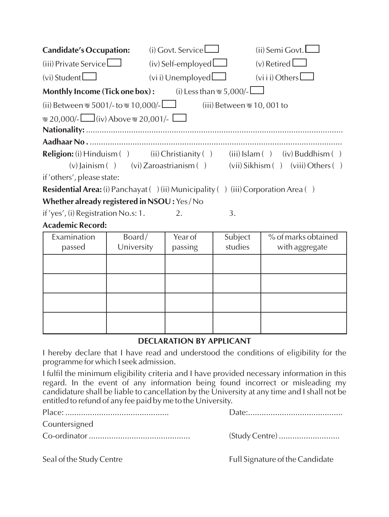| <b>Candidate's Occupation:</b>                                                           | $(i)$ Govt. Service                 | (ii) Semi Govt.                           |
|------------------------------------------------------------------------------------------|-------------------------------------|-------------------------------------------|
| $(iii)$ Private Service                                                                  | $(iv)$ Self-employed $\Box$         | $(v)$ Retired $\Box$                      |
| $(vi)$ Student $\Box$                                                                    | $(vi)$ Unemployed $\Box$            | $(vii)$ Others                            |
| <b>Monthly Income (Tick one box):</b>                                                    | (i) Less than $\mathcal{F}$ 5,000/- |                                           |
| (ii) Between $\overline{\mathcal{A}}$ 5001/-to $\overline{\mathcal{A}}$ 10,000/- $\Box$  |                                     | (iii) Between জ 10,001 to                 |
| জ 20,000/- $\Box$ (iv) Above জ 20,001/-                                                  |                                     |                                           |
|                                                                                          |                                     |                                           |
|                                                                                          |                                     |                                           |
| <b>Religion:</b> (i) $\text{Hinduism}$ (ii) $\text{Christianity}$ (ii)                   |                                     | $(iii)$ Islam $(j)$ $(iv)$ Buddhism $(j)$ |
| (v) Jainism ( ) (vi) Zaroastrianism ( )                                                  |                                     | (vii) Sikhism () (viii) Others ()         |
| if 'others', please state:                                                               |                                     |                                           |
| <b>Residential Area:</b> (i) Panchayat () (ii) Municipality () (iii) Corporation Area () |                                     |                                           |

**Whether already registered in NSOU :** Yes / No

if 'yes', (i) Registration No.s: 1.  $\qquad \qquad$  2.  $\qquad \qquad$  3.

#### **Academic Record:**

| Examination | Board/     | Year of | Subject | % of marks obtained |
|-------------|------------|---------|---------|---------------------|
| passed      | University | passing | studies | with aggregate      |
|             |            |         |         |                     |
|             |            |         |         |                     |
|             |            |         |         |                     |
|             |            |         |         |                     |
|             |            |         |         |                     |
|             |            |         |         |                     |
|             |            |         |         |                     |
|             |            |         |         |                     |

#### **DECLARATION BY APPLICANT**

I hereby declare that I have read and understood the conditions of eligibility for the programme for which I seek admission.

I fulfil the minimum eligibility criteria and I have provided necessary information in this regard. In the event of any information being found incorrect or misleading my candidature shall be liable to cancellation by the University at any time and I shall not be entitled to refund of any fee paid by me to the University.

Place: .............................................. Date:.......................................... Countersigned Co-ordinator ............................................. (Study Centre) ...........................

Seal of the Study Centre Full Signature of the Candidate